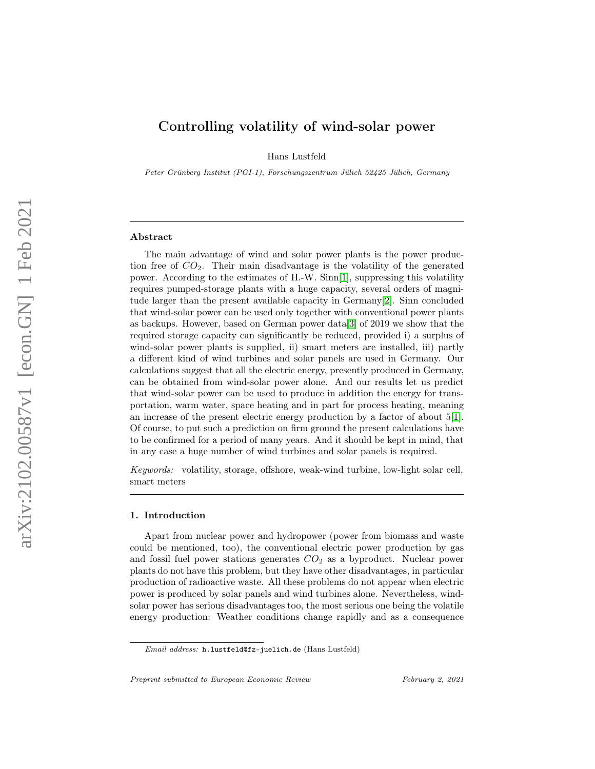# Controlling volatility of wind-solar power

Hans Lustfeld

Peter Grünberg Institut (PGI-1), Forschungszentrum Jülich 52425 Jülich, Germany

#### Abstract

The main advantage of wind and solar power plants is the power production free of  $CO<sub>2</sub>$ . Their main disadvantage is the volatility of the generated power. According to the estimates of H.-W. Sinn[\[1\]](#page-9-0), suppressing this volatility requires pumped-storage plants with a huge capacity, several orders of magnitude larger than the present available capacity in Germany[\[2\]](#page-9-1). Sinn concluded that wind-solar power can be used only together with conventional power plants as backups. However, based on German power data[\[3\]](#page-9-2) of 2019 we show that the required storage capacity can significantly be reduced, provided i) a surplus of wind-solar power plants is supplied, ii) smart meters are installed, iii) partly a different kind of wind turbines and solar panels are used in Germany. Our calculations suggest that all the electric energy, presently produced in Germany, can be obtained from wind-solar power alone. And our results let us predict that wind-solar power can be used to produce in addition the energy for transportation, warm water, space heating and in part for process heating, meaning an increase of the present electric energy production by a factor of about 5[\[1\]](#page-9-0). Of course, to put such a prediction on firm ground the present calculations have to be confirmed for a period of many years. And it should be kept in mind, that in any case a huge number of wind turbines and solar panels is required.

Keywords: volatility, storage, offshore, weak-wind turbine, low-light solar cell, smart meters

## 1. Introduction

Apart from nuclear power and hydropower (power from biomass and waste could be mentioned, too), the conventional electric power production by gas and fossil fuel power stations generates  $CO<sub>2</sub>$  as a byproduct. Nuclear power plants do not have this problem, but they have other disadvantages, in particular production of radioactive waste. All these problems do not appear when electric power is produced by solar panels and wind turbines alone. Nevertheless, windsolar power has serious disadvantages too, the most serious one being the volatile energy production: Weather conditions change rapidly and as a consequence

Email address: h.lustfeld@fz-juelich.de (Hans Lustfeld)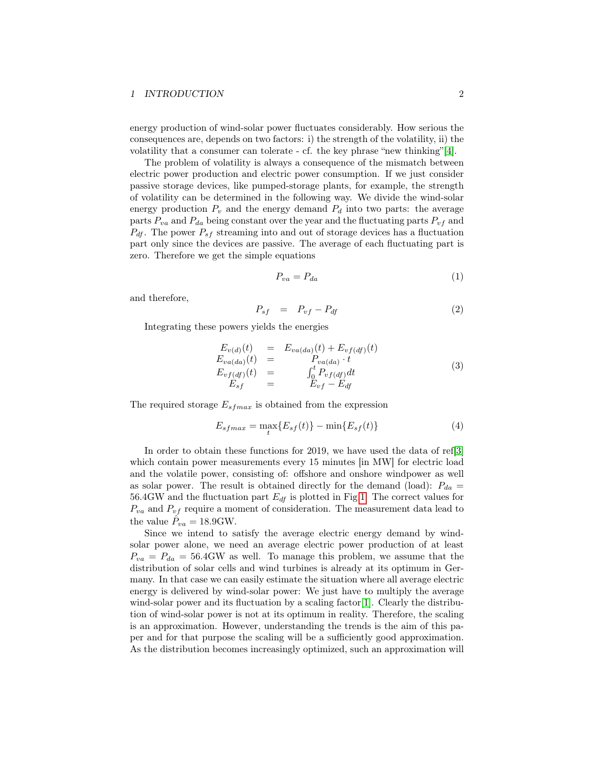## 1 INTRODUCTION 2

energy production of wind-solar power fluctuates considerably. How serious the consequences are, depends on two factors: i) the strength of the volatility, ii) the volatility that a consumer can tolerate - cf. the key phrase "new thinking"[\[4\]](#page-10-0).

The problem of volatility is always a consequence of the mismatch between electric power production and electric power consumption. If we just consider passive storage devices, like pumped-storage plants, for example, the strength of volatility can be determined in the following way. We divide the wind-solar energy production  $P_v$  and the energy demand  $P_d$  into two parts: the average parts  $P_{va}$  and  $P_{da}$  being constant over the year and the fluctuating parts  $P_{vf}$  and  $P_{df}$ . The power  $P_{sf}$  streaming into and out of storage devices has a fluctuation part only since the devices are passive. The average of each fluctuating part is zero. Therefore we get the simple equations

$$
P_{va} = P_{da} \tag{1}
$$

and therefore,

<span id="page-1-0"></span>
$$
P_{sf} = P_{vf} - P_{df} \tag{2}
$$

Integrating these powers yields the energies

$$
E_{\nu(d)}(t) = E_{\nu a(da)}(t) + E_{\nu f(df)}(t)
$$
  
\n
$$
E_{\nu a(da)}(t) = P_{\nu a(da)} \cdot t
$$
  
\n
$$
E_{\nu f(df)}(t) = \int_0^t P_{\nu f(df)} dt
$$
  
\n
$$
E_{sf} = E_{\nu f} - E_{df}
$$
\n(3)

The required storage  $E_{sfmax}$  is obtained from the expression

<span id="page-1-1"></span>
$$
E_{sfmax} = \max_t \{ E_{sf}(t) \} - \min \{ E_{sf}(t) \}
$$
 (4)

In order to obtain these functions for 2019, we have used the data of ref[\[3\]](#page-9-2) which contain power measurements every 15 minutes [in MW] for electric load and the volatile power, consisting of: offshore and onshore windpower as well as solar power. The result is obtained directly for the demand (load):  $P_{da} =$ 56.4GW and the fluctuation part  $E_{df}$  is plotted in Fig[.1.](#page-2-0) The correct values for  $P_{va}$  and  $P_{vf}$  require a moment of consideration. The measurement data lead to the value  $\hat{P}_{va} = 18.9 \text{GW}.$ 

Since we intend to satisfy the average electric energy demand by windsolar power alone, we need an average electric power production of at least  $P_{va} = P_{da} = 56.4$  GW as well. To manage this problem, we assume that the distribution of solar cells and wind turbines is already at its optimum in Germany. In that case we can easily estimate the situation where all average electric energy is delivered by wind-solar power: We just have to multiply the average wind-solar power and its fluctuation by a scaling factor [\[1\]](#page-9-0). Clearly the distribution of wind-solar power is not at its optimum in reality. Therefore, the scaling is an approximation. However, understanding the trends is the aim of this paper and for that purpose the scaling will be a sufficiently good approximation. As the distribution becomes increasingly optimized, such an approximation will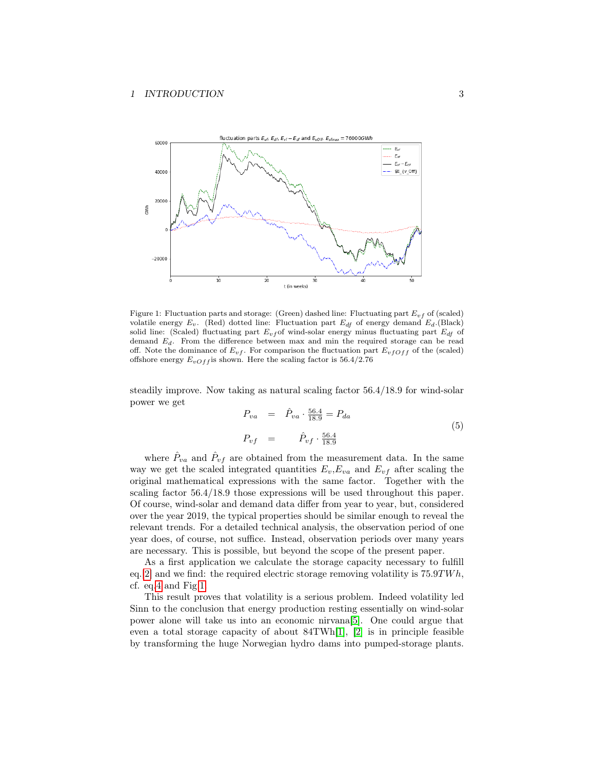

<span id="page-2-0"></span>Figure 1: Fluctuation parts and storage: (Green) dashed line: Fluctuating part  $E_{vf}$  of (scaled) volatile energy  $E_v$ . (Red) dotted line: Fluctuation part  $E_{df}$  of energy demand  $E_d$ .(Black) solid line: (Scaled) fluctuating part  $E_{vf}$  of wind-solar energy minus fluctuating part  $E_{df}$  of demand  $E_d$ . From the difference between max and min the required storage can be read off. Note the dominance of  $E_{vf}$ . For comparison the fluctuation part  $E_{vfOff}$  of the (scaled) offshore energy  $E_{vOff}$  is shown. Here the scaling factor is  $56.4/2.76$ 

steadily improve. Now taking as natural scaling factor 56.4/18.9 for wind-solar power we get

$$
P_{va} = \hat{P}_{va} \cdot \frac{56.4}{18.9} = P_{da}
$$
  
\n
$$
P_{vf} = \hat{P}_{vf} \cdot \frac{56.4}{18.9}
$$
 (5)

where  $\hat{P}_{va}$  and  $\hat{P}_{vf}$  are obtained from the measurement data. In the same way we get the scaled integrated quantities  $E_v, E_{va}$  and  $E_{vf}$  after scaling the original mathematical expressions with the same factor. Together with the scaling factor 56.4/18.9 those expressions will be used throughout this paper. Of course, wind-solar and demand data differ from year to year, but, considered over the year 2019, the typical properties should be similar enough to reveal the relevant trends. For a detailed technical analysis, the observation period of one year does, of course, not suffice. Instead, observation periods over many years are necessary. This is possible, but beyond the scope of the present paper.

As a first application we calculate the storage capacity necessary to fulfill eq. [\[2\]](#page-1-0) and we find: the required electric storage removing volatility is  $75.9TWh$ , cf. eq[.4](#page-1-1) and Fig[.1.](#page-2-0)

This result proves that volatility is a serious problem. Indeed volatility led Sinn to the conclusion that energy production resting essentially on wind-solar power alone will take us into an economic nirvana[\[5\]](#page-10-1). One could argue that even a total storage capacity of about 84TWh[\[1\]](#page-9-0), [\[2\]](#page-9-1) is in principle feasible by transforming the huge Norwegian hydro dams into pumped-storage plants.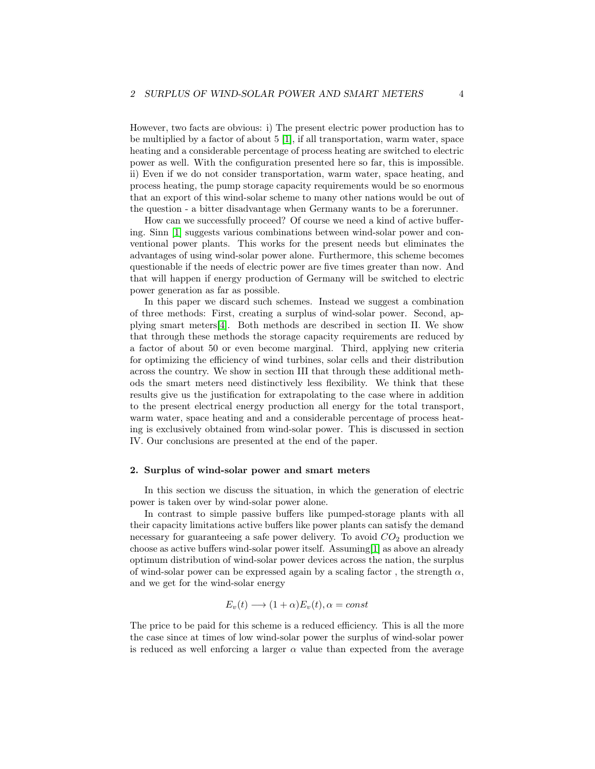However, two facts are obvious: i) The present electric power production has to be multiplied by a factor of about 5 [\[1\]](#page-9-0), if all transportation, warm water, space heating and a considerable percentage of process heating are switched to electric power as well. With the configuration presented here so far, this is impossible. ii) Even if we do not consider transportation, warm water, space heating, and process heating, the pump storage capacity requirements would be so enormous that an export of this wind-solar scheme to many other nations would be out of the question - a bitter disadvantage when Germany wants to be a forerunner.

How can we successfully proceed? Of course we need a kind of active buffering. Sinn [\[1\]](#page-9-0) suggests various combinations between wind-solar power and conventional power plants. This works for the present needs but eliminates the advantages of using wind-solar power alone. Furthermore, this scheme becomes questionable if the needs of electric power are five times greater than now. And that will happen if energy production of Germany will be switched to electric power generation as far as possible.

In this paper we discard such schemes. Instead we suggest a combination of three methods: First, creating a surplus of wind-solar power. Second, applying smart meters[\[4\]](#page-10-0). Both methods are described in section II. We show that through these methods the storage capacity requirements are reduced by a factor of about 50 or even become marginal. Third, applying new criteria for optimizing the efficiency of wind turbines, solar cells and their distribution across the country. We show in section III that through these additional methods the smart meters need distinctively less flexibility. We think that these results give us the justification for extrapolating to the case where in addition to the present electrical energy production all energy for the total transport, warm water, space heating and and a considerable percentage of process heating is exclusively obtained from wind-solar power. This is discussed in section IV. Our conclusions are presented at the end of the paper.

### 2. Surplus of wind-solar power and smart meters

In this section we discuss the situation, in which the generation of electric power is taken over by wind-solar power alone.

In contrast to simple passive buffers like pumped-storage plants with all their capacity limitations active buffers like power plants can satisfy the demand necessary for guaranteeing a safe power delivery. To avoid  $CO<sub>2</sub>$  production we choose as active buffers wind-solar power itself. Assuming[\[1\]](#page-9-0) as above an already optimum distribution of wind-solar power devices across the nation, the surplus of wind-solar power can be expressed again by a scaling factor, the strength  $\alpha$ , and we get for the wind-solar energy

$$
E_v(t) \longrightarrow (1+\alpha)E_v(t), \alpha = const
$$

The price to be paid for this scheme is a reduced efficiency. This is all the more the case since at times of low wind-solar power the surplus of wind-solar power is reduced as well enforcing a larger  $\alpha$  value than expected from the average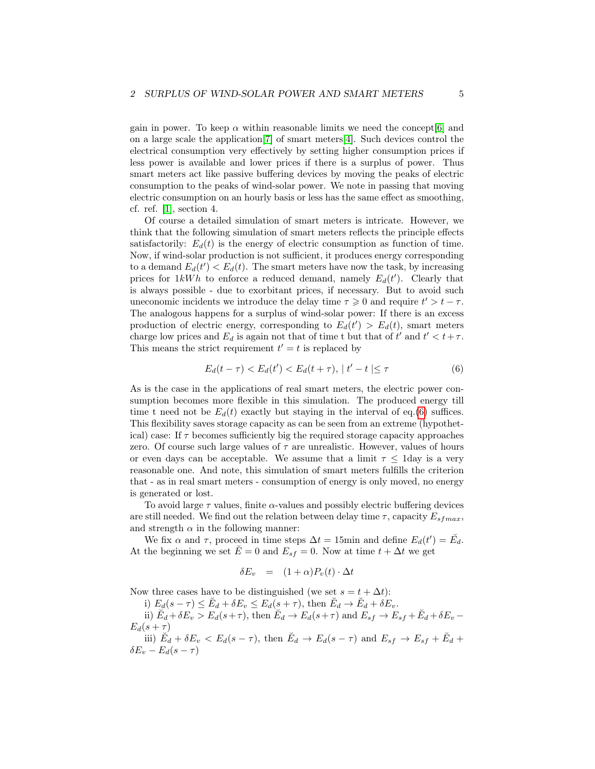gain in power. To keep  $\alpha$  within reasonable limits we need the concept [\[6\]](#page-10-2) and on a large scale the application[\[7\]](#page-10-3) of smart meters[\[4\]](#page-10-0). Such devices control the electrical consumption very effectively by setting higher consumption prices if less power is available and lower prices if there is a surplus of power. Thus smart meters act like passive buffering devices by moving the peaks of electric consumption to the peaks of wind-solar power. We note in passing that moving electric consumption on an hourly basis or less has the same effect as smoothing, cf. ref. [\[1\]](#page-9-0), section 4.

Of course a detailed simulation of smart meters is intricate. However, we think that the following simulation of smart meters reflects the principle effects satisfactorily:  $E_d(t)$  is the energy of electric consumption as function of time. Now, if wind-solar production is not sufficient, it produces energy corresponding to a demand  $E_d(t') < E_d(t)$ . The smart meters have now the task, by increasing prices for  $1kWh$  to enforce a reduced demand, namely  $E_d(t')$ . Clearly that is always possible - due to exorbitant prices, if necessary. But to avoid such uneconomic incidents we introduce the delay time  $\tau \geq 0$  and require  $t' > t - \tau$ . The analogous happens for a surplus of wind-solar power: If there is an excess production of electric energy, corresponding to  $E_d(t') > E_d(t)$ , smart meters charge low prices and  $E_d$  is again not that of time t but that of  $t'$  and  $t' < t + \tau$ . This means the strict requirement  $t' = t$  is replaced by

<span id="page-4-0"></span>
$$
E_d(t - \tau) < E_d(t') < E_d(t + \tau), \, |t' - t| \le \tau \tag{6}
$$

As is the case in the applications of real smart meters, the electric power consumption becomes more flexible in this simulation. The produced energy till time t need not be  $E_d(t)$  exactly but staying in the interval of eq.[\(6\)](#page-4-0) suffices. This flexibility saves storage capacity as can be seen from an extreme (hypothetical) case: If  $\tau$  becomes sufficiently big the required storage capacity approaches zero. Of course such large values of  $\tau$  are unrealistic. However, values of hours or even days can be acceptable. We assume that a limit  $\tau$  < 1 day is a very reasonable one. And note, this simulation of smart meters fulfills the criterion that - as in real smart meters - consumption of energy is only moved, no energy is generated or lost.

To avoid large  $\tau$  values, finite  $\alpha$ -values and possibly electric buffering devices are still needed. We find out the relation between delay time  $\tau$ , capacity  $E_{s{fmax}}$ , and strength  $\alpha$  in the following manner:

We fix  $\alpha$  and  $\tau$ , proceed in time steps  $\Delta t = 15$ min and define  $E_d(t') = \check{E}_d$ . At the beginning we set  $\check{E} = 0$  and  $E_{sf} = 0$ . Now at time  $t + \Delta t$  we get

$$
\delta E_v = (1 + \alpha) P_v(t) \cdot \Delta t
$$

Now three cases have to be distinguished (we set  $s = t + \Delta t$ ):

i)  $E_d(s-\tau) \leq \check{E}_d + \delta E_v \leq E_d(s+\tau)$ , then  $\check{E}_d \to \check{E}_d + \delta E_v$ . ii)  $\breve{E}_d + \delta E_v > E_d(s+\tau)$ , then  $\breve{E}_d \to E_d(s+\tau)$  and  $E_{sf} \to E_{sf} + \breve{E}_d + \delta E_v$  $E_d(s+\tau)$ 

iii) 
$$
\breve{E}_d + \delta E_v < E_d(s - \tau)
$$
, then  $\breve{E}_d \to E_d(s - \tau)$  and  $E_{sf} \to E_{sf} + \breve{E}_d + \delta E_v - E_d(s - \tau)$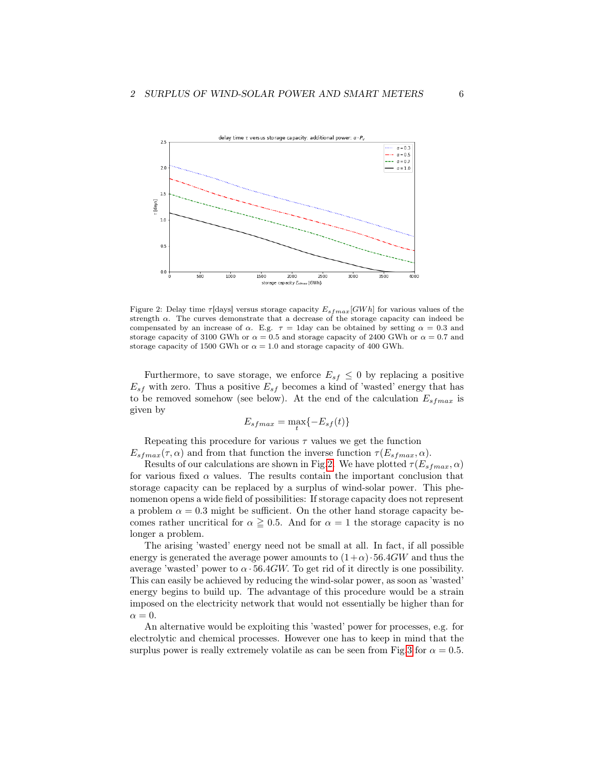

<span id="page-5-0"></span>Figure 2: Delay time  $\tau$ [days] versus storage capacity  $E_{s, fmax}[GWh]$  for various values of the strength  $\alpha$ . The curves demonstrate that a decrease of the storage capacity can indeed be compensated by an increase of  $\alpha$ . E.g.  $\tau = 1$ day can be obtained by setting  $\alpha = 0.3$  and storage capacity of 3100 GWh or  $\alpha = 0.5$  and storage capacity of 2400 GWh or  $\alpha = 0.7$  and storage capacity of 1500 GWh or  $\alpha = 1.0$  and storage capacity of 400 GWh.

Furthermore, to save storage, we enforce  $E_{sf} \leq 0$  by replacing a positive  $E_{sf}$  with zero. Thus a positive  $E_{sf}$  becomes a kind of 'wasted' energy that has to be removed somehow (see below). At the end of the calculation  $E_{s{fmax}}$  is given by

$$
E_{sfmax} = \max_t \{-E_{sf}(t)\}
$$

Repeating this procedure for various  $\tau$  values we get the function  $E_{sfmax}(\tau, \alpha)$  and from that function the inverse function  $\tau(E_{sfmax}, \alpha)$ .

Results of our calculations are shown in Fig[.2.](#page-5-0) We have plotted  $\tau(E_{sfmax}, \alpha)$ for various fixed  $\alpha$  values. The results contain the important conclusion that storage capacity can be replaced by a surplus of wind-solar power. This phenomenon opens a wide field of possibilities: If storage capacity does not represent a problem  $\alpha = 0.3$  might be sufficient. On the other hand storage capacity becomes rather uncritical for  $\alpha \geq 0.5$ . And for  $\alpha = 1$  the storage capacity is no longer a problem.

The arising 'wasted' energy need not be small at all. In fact, if all possible energy is generated the average power amounts to  $(1+\alpha) \cdot 56.4GW$  and thus the average 'wasted' power to  $\alpha$  · 56.4GW. To get rid of it directly is one possibility. This can easily be achieved by reducing the wind-solar power, as soon as 'wasted' energy begins to build up. The advantage of this procedure would be a strain imposed on the electricity network that would not essentially be higher than for  $\alpha = 0.$ 

An alternative would be exploiting this 'wasted' power for processes, e.g. for electrolytic and chemical processes. However one has to keep in mind that the surplus power is really extremely volatile as can be seen from Fig[.3](#page-6-0) for  $\alpha = 0.5$ .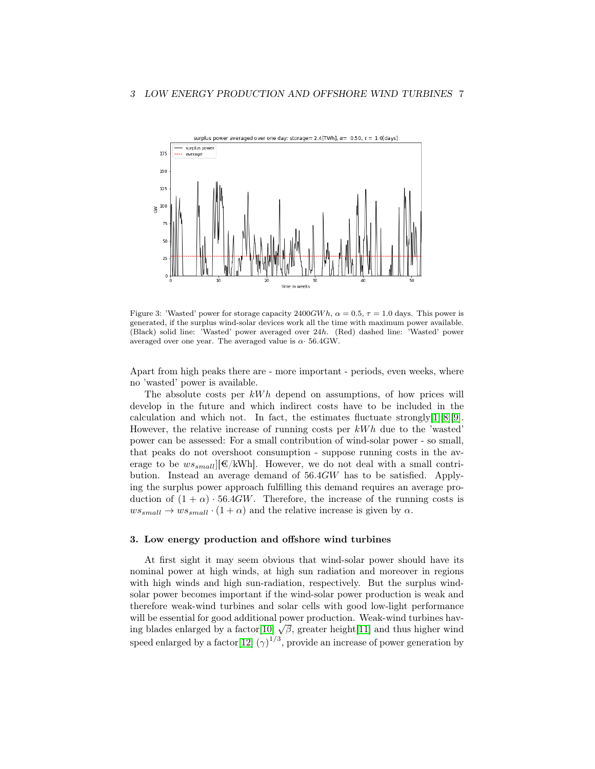

<span id="page-6-0"></span>Figure 3: 'Wasted' power for storage capacity  $2400GW h$ ,  $\alpha = 0.5$ ,  $\tau = 1.0$  days. This power is generated, if the surplus wind-solar devices work all the time with maximum power available. (Black) solid line: 'Wasted' power averaged over 24h. (Red) dashed line: 'Wasted' power averaged over one year. The averaged value is  $\alpha$  56.4GW.

Apart from high peaks there are - more important - periods, even weeks, where no 'wasted' power is available.

The absolute costs per  $kWh$  depend on assumptions, of how prices will develop in the future and which indirect costs have to be included in the calculation and which not. In fact, the estimates fluctuate strongly[\[1\]](#page-9-0)[\[8\]](#page-10-4)[\[9\]](#page-10-5). However, the relative increase of running costs per  $kWh$  due to the 'wasted' power can be assessed: For a small contribution of wind-solar power - so small, that peaks do not overshoot consumption - suppose running costs in the average to be  $ws_{small}][\mathcal{E}/kWh]$ . However, we do not deal with a small contribution. Instead an average demand of 56.4GW has to be satisfied. Applying the surplus power approach fulfilling this demand requires an average production of  $(1 + \alpha) \cdot 56.4GW$ . Therefore, the increase of the running costs is  $ws_{small} \rightarrow ws_{small} \cdot (1+\alpha)$  and the relative increase is given by  $\alpha$ .

## 3. Low energy production and offshore wind turbines

At first sight it may seem obvious that wind-solar power should have its nominal power at high winds, at high sun radiation and moreover in regions with high winds and high sun-radiation, respectively. But the surplus windsolar power becomes important if the wind-solar power production is weak and therefore weak-wind turbines and solar cells with good low-light performance will be essential for good additional power production. Weak-wind turbines havwill be essential for good additional power production. Weak-wind turbines having blades enlarged by a factor  $[10]$   $\sqrt{\beta}$ , greater height  $[11]$  and thus higher wind speed enlarged by a factor  $[12] (\gamma)^{1/3}$  $[12] (\gamma)^{1/3}$ , provide an increase of power generation by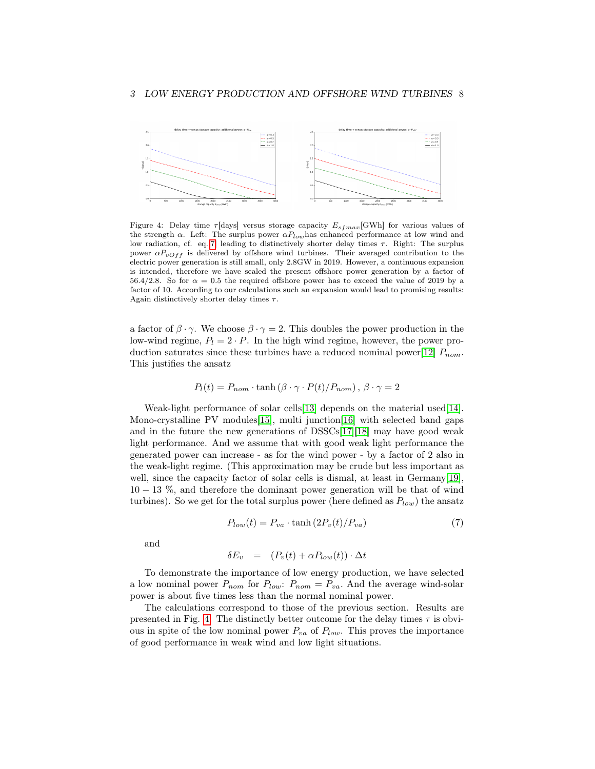

<span id="page-7-1"></span>Figure 4: Delay time  $\tau$ [days] versus storage capacity  $E_{sfmax}$ [GWh] for various values of the strength  $\alpha$ . Left: The surplus power  $\alpha P_{low}$  has enhanced performance at low wind and low radiation, cf. eq.[\[7\]](#page-7-0) leading to distinctively shorter delay times  $\tau$ . Right: The surplus power  $\alpha P_{vOff}$  is delivered by offshore wind turbines. Their averaged contribution to the electric power generation is still small, only 2.8GW in 2019. However, a continuous expansion is intended, therefore we have scaled the present offshore power generation by a factor of 56.4/2.8. So for  $\alpha = 0.5$  the required offshore power has to exceed the value of 2019 by a factor of 10. According to our calculations such an expansion would lead to promising results: Again distinctively shorter delay times  $\tau$ .

a factor of  $\beta \cdot \gamma$ . We choose  $\beta \cdot \gamma = 2$ . This doubles the power production in the low-wind regime,  $P_l = 2 \cdot P$ . In the high wind regime, however, the power pro-duction saturates since these turbines have a reduced nominal power[\[12\]](#page-10-8)  $P_{nom}$ . This justifies the ansatz

$$
P_l(t) = P_{nom} \cdot \tanh\left(\beta \cdot \gamma \cdot P(t)/P_{nom}\right), \ \beta \cdot \gamma = 2
$$

Weak-light performance of solar cells[\[13\]](#page-10-9) depends on the material used[\[14\]](#page-10-10). Mono-crystalline PV modules [\[15\]](#page-10-11), multi junction [\[16\]](#page-10-12) with selected band gaps and in the future the new generations of DSSCs[\[17\]](#page-11-0)[\[18\]](#page-11-1) may have good weak light performance. And we assume that with good weak light performance the generated power can increase - as for the wind power - by a factor of 2 also in the weak-light regime. (This approximation may be crude but less important as well, since the capacity factor of solar cells is dismal, at least in Germany[\[19\]](#page-11-2), 10 − 13 %, and therefore the dominant power generation will be that of wind turbines). So we get for the total surplus power (here defined as  $P_{low}$ ) the ansatz

<span id="page-7-0"></span>
$$
P_{low}(t) = P_{va} \cdot \tanh\left(2P_v(t)/P_{va}\right) \tag{7}
$$

and

$$
\delta E_v = (P_v(t) + \alpha P_{low}(t)) \cdot \Delta t
$$

To demonstrate the importance of low energy production, we have selected a low nominal power  $P_{nom}$  for  $P_{low}$ :  $P_{nom} = P_{va}$ . And the average wind-solar power is about five times less than the normal nominal power.

The calculations correspond to those of the previous section. Results are presented in Fig. [4.](#page-7-1) The distinctly better outcome for the delay times  $\tau$  is obvious in spite of the low nominal power  $P_{va}$  of  $P_{low}$ . This proves the importance of good performance in weak wind and low light situations.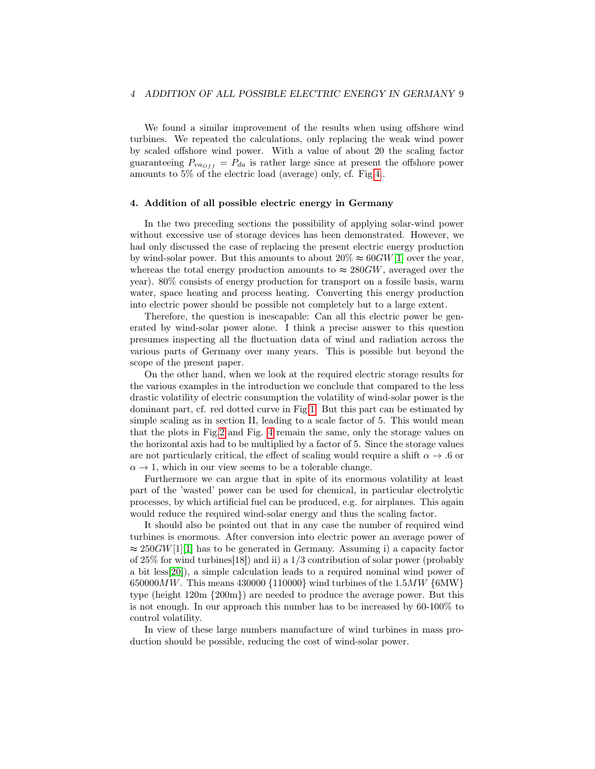We found a similar improvement of the results when using offshore wind turbines. We repeated the calculations, only replacing the weak wind power by scaled offshore wind power. With a value of about 20 the scaling factor guaranteeing  $P_{va_{Off}} = P_{da}$  is rather large since at present the offshore power amounts to 5% of the electric load (average) only, cf. Fig[.4.](#page-7-1).

## 4. Addition of all possible electric energy in Germany

In the two preceding sections the possibility of applying solar-wind power without excessive use of storage devices has been demonstrated. However, we had only discussed the case of replacing the present electric energy production by wind-solar power. But this amounts to about  $20\% \approx 60$  GW[\[1\]](#page-9-0) over the year, whereas the total energy production amounts to  $\approx 280$  GW, averaged over the year). 80% consists of energy production for transport on a fossile basis, warm water, space heating and process heating. Converting this energy production into electric power should be possible not completely but to a large extent.

Therefore, the question is inescapable: Can all this electric power be generated by wind-solar power alone. I think a precise answer to this question presumes inspecting all the fluctuation data of wind and radiation across the various parts of Germany over many years. This is possible but beyond the scope of the present paper.

On the other hand, when we look at the required electric storage results for the various examples in the introduction we conclude that compared to the less drastic volatility of electric consumption the volatility of wind-solar power is the dominant part, cf. red dotted curve in Fig[.1.](#page-2-0) But this part can be estimated by simple scaling as in section II, leading to a scale factor of 5. This would mean that the plots in Fig[.2](#page-5-0) and Fig. [4](#page-7-1) remain the same, only the storage values on the horizontal axis had to be multiplied by a factor of 5. Since the storage values are not particularly critical, the effect of scaling would require a shift  $\alpha \to 0$  or  $\alpha \rightarrow 1$ , which in our view seems to be a tolerable change.

Furthermore we can argue that in spite of its enormous volatility at least part of the 'wasted' power can be used for chemical, in particular electrolytic processes, by which artificial fuel can be produced, e.g. for airplanes. This again would reduce the required wind-solar energy and thus the scaling factor.

It should also be pointed out that in any case the number of required wind turbines is enormous. After conversion into electric power an average power of  $\approx 250$  GW[\[1\]](#page-9-0)[1] has to be generated in Germany. Assuming i) a capacity factor of 25% for wind turbines[18]) and ii) a 1/3 contribution of solar power (probably a bit less[\[20\]](#page-11-3)), a simple calculation leads to a required nominal wind power of 650000 $MW$ . This means 430000 {110000} wind turbines of the 1.5 $MW$  {6MW} type (height 120m {200m}) are needed to produce the average power. But this is not enough. In our approach this number has to be increased by 60-100% to control volatility.

In view of these large numbers manufacture of wind turbines in mass production should be possible, reducing the cost of wind-solar power.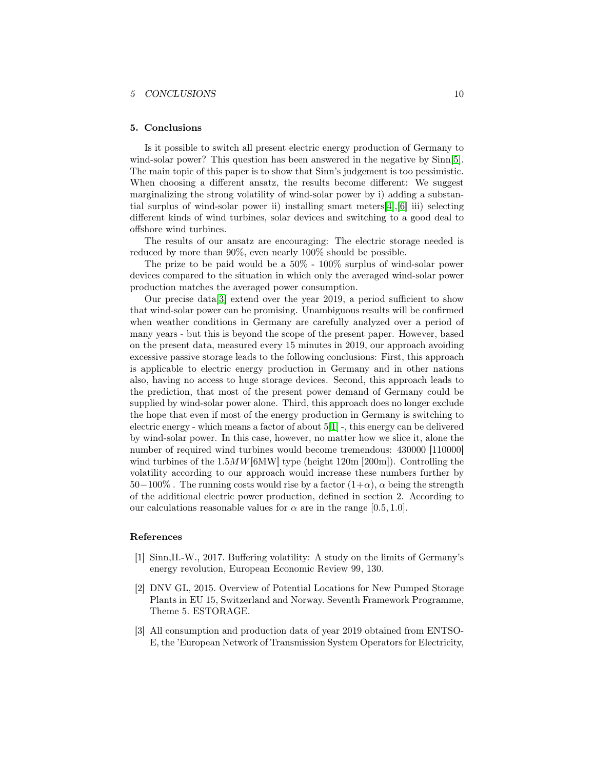#### 5 CONCLUSIONS 10

#### 5. Conclusions

Is it possible to switch all present electric energy production of Germany to wind-solar power? This question has been answered in the negative by  $Sim[5]$  $Sim[5]$ . The main topic of this paper is to show that Sinn's judgement is too pessimistic. When choosing a different ansatz, the results become different: We suggest marginalizing the strong volatility of wind-solar power by i) adding a substantial surplus of wind-solar power ii) installing smart meters[\[4\]](#page-10-0),[\[6\]](#page-10-2) iii) selecting different kinds of wind turbines, solar devices and switching to a good deal to offshore wind turbines.

The results of our ansatz are encouraging: The electric storage needed is reduced by more than 90%, even nearly 100% should be possible.

The prize to be paid would be a 50% - 100% surplus of wind-solar power devices compared to the situation in which only the averaged wind-solar power production matches the averaged power consumption.

Our precise data[\[3\]](#page-9-2) extend over the year 2019, a period sufficient to show that wind-solar power can be promising. Unambiguous results will be confirmed when weather conditions in Germany are carefully analyzed over a period of many years - but this is beyond the scope of the present paper. However, based on the present data, measured every 15 minutes in 2019, our approach avoiding excessive passive storage leads to the following conclusions: First, this approach is applicable to electric energy production in Germany and in other nations also, having no access to huge storage devices. Second, this approach leads to the prediction, that most of the present power demand of Germany could be supplied by wind-solar power alone. Third, this approach does no longer exclude the hope that even if most of the energy production in Germany is switching to electric energy - which means a factor of about 5[\[1\]](#page-9-0) -, this energy can be delivered by wind-solar power. In this case, however, no matter how we slice it, alone the number of required wind turbines would become tremendous: 430000 [110000] wind turbines of the  $1.5MW[6MW]$  type (height  $120m$  [200m]). Controlling the volatility according to our approach would increase these numbers further by  $50-100\%$ . The running costs would rise by a factor  $(1+\alpha)$ ,  $\alpha$  being the strength of the additional electric power production, defined in section 2. According to our calculations reasonable values for  $\alpha$  are in the range [0.5, 1.0].

#### References

- <span id="page-9-0"></span>[1] Sinn,H.-W., 2017. Buffering volatility: A study on the limits of Germany's energy revolution, European Economic Review 99, 130.
- <span id="page-9-1"></span>[2] DNV GL, 2015. Overview of Potential Locations for New Pumped Storage Plants in EU 15, Switzerland and Norway. Seventh Framework Programme, Theme 5. ESTORAGE.
- <span id="page-9-2"></span>[3] All consumption and production data of year 2019 obtained from ENTSO-E, the 'European Network of Transmission System Operators for Electricity,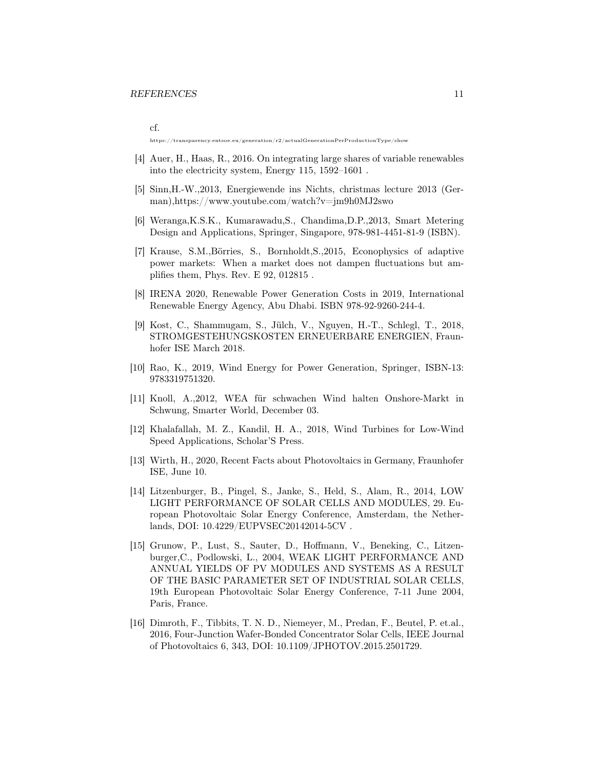cf.

https://transparency.entsoe.eu/generation/r2/actualGenerationPerProductionType/show

- <span id="page-10-0"></span>[4] Auer, H., Haas, R., 2016. On integrating large shares of variable renewables into the electricity system, Energy 115, 1592–1601 .
- <span id="page-10-1"></span>[5] Sinn,H.-W.,2013, Energiewende ins Nichts, christmas lecture 2013 (German),https://www.youtube.com/watch?v=jm9h0MJ2swo
- <span id="page-10-2"></span>[6] Weranga,K.S.K., Kumarawadu,S., Chandima,D.P.,2013, Smart Metering Design and Applications, Springer, Singapore, 978-981-4451-81-9 (ISBN).
- <span id="page-10-3"></span>[7] Krause, S.M.,Börries, S., Bornholdt,S.,2015, Econophysics of adaptive power markets: When a market does not dampen fluctuations but amplifies them, Phys. Rev. E 92, 012815 .
- <span id="page-10-4"></span>[8] IRENA 2020, Renewable Power Generation Costs in 2019, International Renewable Energy Agency, Abu Dhabi. ISBN 978-92-9260-244-4.
- <span id="page-10-5"></span>[9] Kost, C., Shammugam, S., Jülch, V., Nguyen, H.-T., Schlegl, T., 2018, STROMGESTEHUNGSKOSTEN ERNEUERBARE ENERGIEN, Fraunhofer ISE March 2018.
- <span id="page-10-6"></span>[10] Rao, K., 2019, Wind Energy for Power Generation, Springer, ISBN-13: 9783319751320.
- <span id="page-10-7"></span>[11] Knoll, A.,2012, WEA für schwachen Wind halten Onshore-Markt in Schwung, Smarter World, December 03.
- <span id="page-10-8"></span>[12] Khalafallah, M. Z., Kandil, H. A., 2018, Wind Turbines for Low-Wind Speed Applications, Scholar'S Press.
- <span id="page-10-9"></span>[13] Wirth, H., 2020, Recent Facts about Photovoltaics in Germany, Fraunhofer ISE, June 10.
- <span id="page-10-10"></span>[14] Litzenburger, B., Pingel, S., Janke, S., Held, S., Alam, R., 2014, LOW LIGHT PERFORMANCE OF SOLAR CELLS AND MODULES, 29. European Photovoltaic Solar Energy Conference, Amsterdam, the Netherlands, DOI: 10.4229/EUPVSEC20142014-5CV .
- <span id="page-10-11"></span>[15] Grunow, P., Lust, S., Sauter, D., Hoffmann, V., Beneking, C., Litzenburger,C., Podlowski, L., 2004, WEAK LIGHT PERFORMANCE AND ANNUAL YIELDS OF PV MODULES AND SYSTEMS AS A RESULT OF THE BASIC PARAMETER SET OF INDUSTRIAL SOLAR CELLS, 19th European Photovoltaic Solar Energy Conference, 7-11 June 2004, Paris, France.
- <span id="page-10-12"></span>[16] Dimroth, F., Tibbits, T. N. D., Niemeyer, M., Predan, F., Beutel, P. et.al., 2016, Four-Junction Wafer-Bonded Concentrator Solar Cells, IEEE Journal of Photovoltaics 6, 343, DOI: 10.1109/JPHOTOV.2015.2501729.